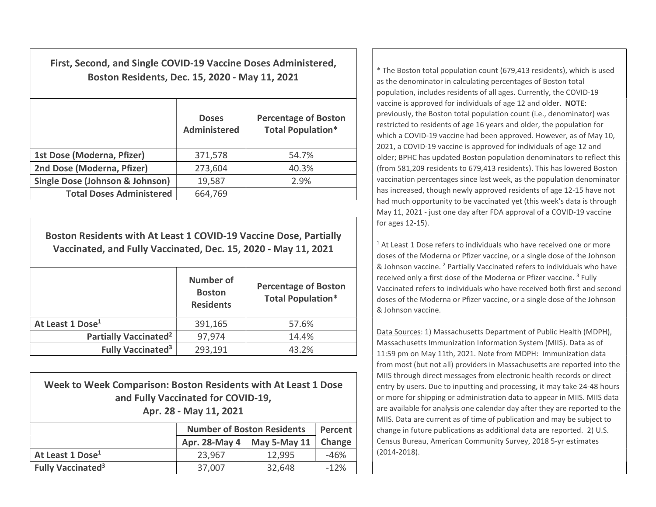First, Second, and Single COVID-19 Vaccine Doses Administered, Boston Residents, Dec. 15, 2020 - May 11, 2021

|                                            | <b>Doses</b><br><b>Administered</b> | <b>Percentage of Boston</b><br><b>Total Population*</b> |
|--------------------------------------------|-------------------------------------|---------------------------------------------------------|
| 1st Dose (Moderna, Pfizer)                 | 371,578                             | 54.7%                                                   |
| 2nd Dose (Moderna, Pfizer)                 | 273,604                             | 40.3%                                                   |
| <b>Single Dose (Johnson &amp; Johnson)</b> | 19,587                              | 2.9%                                                    |
| <b>Total Doses Administered</b>            | 664,769                             |                                                         |

Boston Residents with At Least 1 COVID-19 Vaccine Dose, Partially Vaccinated, and Fully Vaccinated, Dec. 15, 2020 - May 11, 2021

|                                     | <b>Number of</b><br><b>Boston</b><br><b>Residents</b> | <b>Percentage of Boston</b><br><b>Total Population*</b> |
|-------------------------------------|-------------------------------------------------------|---------------------------------------------------------|
| At Least 1 Dose <sup>1</sup>        | 391,165                                               | 57.6%                                                   |
| Partially Vaccinated <sup>2</sup>   | 97,974                                                | 14.4%                                                   |
| <b>Fully Vaccinated<sup>3</sup></b> | 293,191                                               | 43.2%                                                   |

| Week to Week Comparison: Boston Residents with At Least 1 Dose<br>and Fully Vaccinated for COVID-19,<br>Apr. 28 - May 11, 2021 |                                       |         |  |  |  |
|--------------------------------------------------------------------------------------------------------------------------------|---------------------------------------|---------|--|--|--|
| <b>Number of Boston Residents</b>                                                                                              |                                       | Percent |  |  |  |
|                                                                                                                                | Apr. 28-May 4   May 5-May 11   Change |         |  |  |  |

At Least 1 Dose<sup>1</sup> 23,967 12,995 46% **Fully Vaccinated<sup>3</sup>**  $\vert$  37,007  $\vert$  32,648  $\vert$  -12% as the denominator in calculating percentages of Boston total population, includes residents of all ages. Currently, the COVID-19 vaccine is approved for individuals of age 12 and older. NOTE: previously, the Boston total population count (i.e., denominator) was restricted to residents of age 16 years and older, the population for which a COVID-19 vaccine had been approved. However, as of May 10, 2021, a COVID-19 vaccine is approved for individuals of age 12 and older; BPHC has updated Boston population denominators to reflect this (from 581,209 residents to 679,413 residents). This has lowered Boston vaccination percentages since last week, as the population denominator has increased, though newly approved residents of age 12-15 have not had much opportunity to be vaccinated yet (this week's data is through May 11, 2021 - just one day after FDA approval of a COVID-19 vaccine for ages 12-15).

\* The Boston total population count (679,413 residents), which is used

<sup>1</sup> At Least 1 Dose refers to individuals who have received one or more doses of the Moderna or Pfizer vaccine, or a single dose of the Johnson & Johnson vaccine. <sup>2</sup> Partially Vaccinated refers to individuals who have received only a first dose of the Moderna or Pfizer vaccine.<sup>3</sup> Fully Vaccinated refers to individuals who have received both first and second doses of the Moderna or Pfizer vaccine, or a single dose of the Johnson & Johnson vaccine.

Data Sources: 1) Massachusetts Department of Public Health (MDPH), Massachusetts Immunization Information System (MIIS). Data as of 11:59 pm on May 11th, 2021. Note from MDPH: Immunization data from most (but not all) providers in Massachusetts are reported into the MIIS through direct messages from electronic health records or direct entry by users. Due to inputting and processing, it may take 24-48 hours or more for shipping or administration data to appear in MIIS. MIIS data are available for analysis one calendar day after they are reported to the MIIS. Data are current as of time of publication and may be subject to change in future publications as additional data are reported. 2) U.S. Census Bureau, American Community Survey, 2018 5-yr estimates (2014-2018).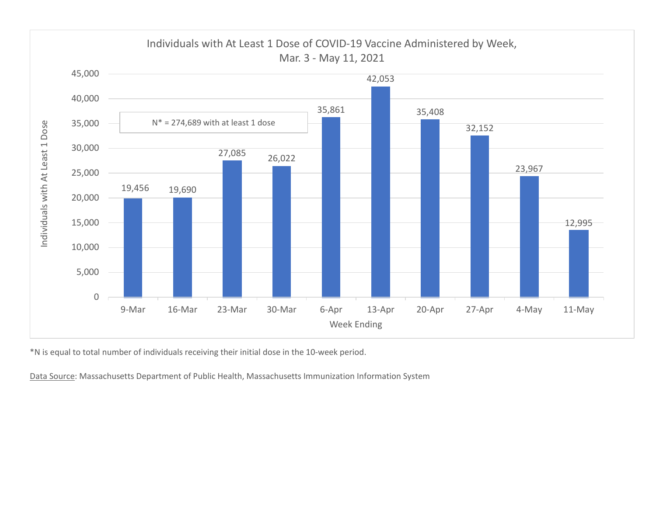

\*N is equal to total number of individuals receiving their initial dose in the 10-week period.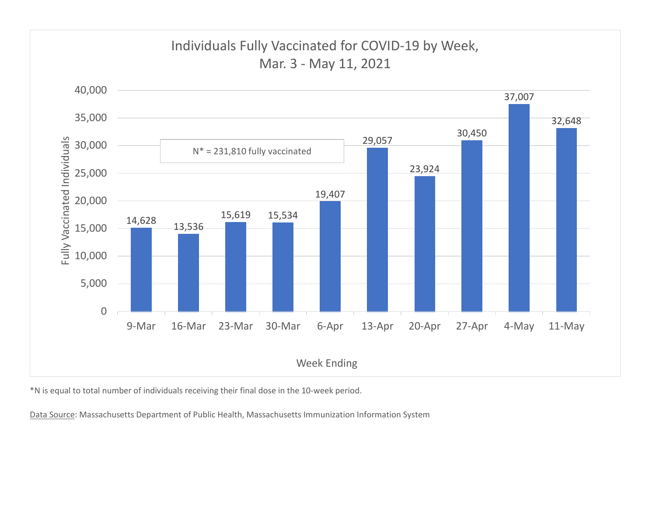

\*N is equal to total number of individuals receiving their final dose in the 10-week period.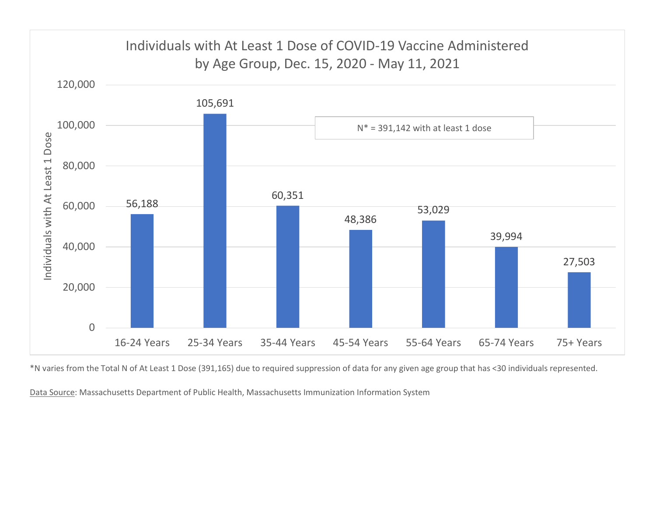

\*N varies from the Total N of At Least 1 Dose (391,165) due to required suppression of data for any given age group that has <30 individuals represented.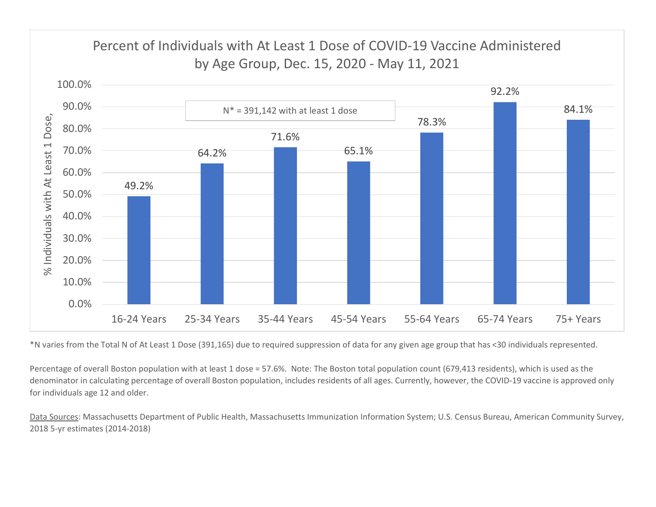

\*N varies from the Total N of At Least 1 Dose (391,165) due to required suppression of data for any given age group that has <30 individuals represented.

Percentage of overall Boston population with at least 1 dose = 57.6%. Note: The Boston total population count (679,413 residents), which is used as the denominator in calculating percentage of overall Boston population, includes residents of all ages. Currently, however, the COVID-19 vaccine is approved only for individuals age 12 and older.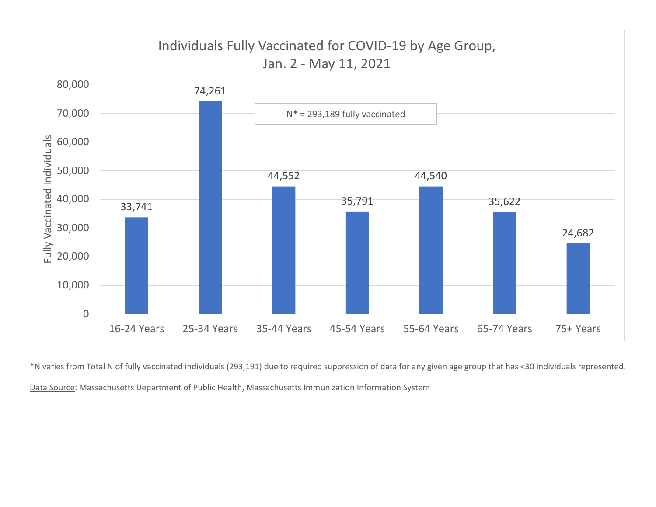

\*N varies from Total N of fully vaccinated individuals (293,191) due to required suppression of data for any given age group that has <30 individuals represented. Data Source: Massachusetts Department of Public Health, Massachusetts Immunization Information System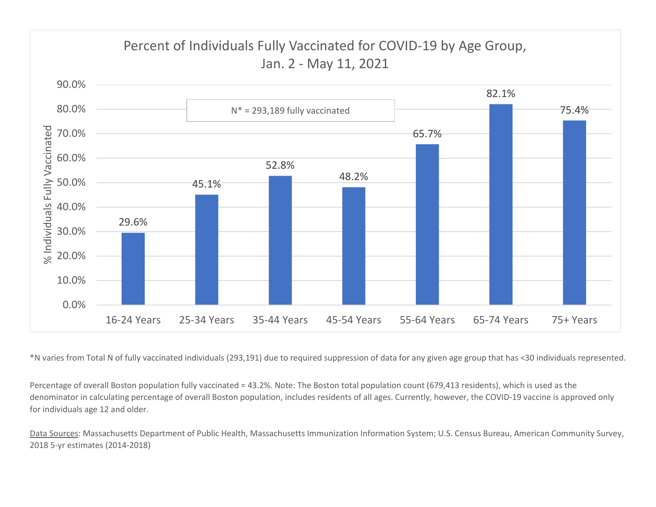

\*N varies from Total N of fully vaccinated individuals (293,191) due to required suppression of data for any given age group that has <30 individuals represented.

Percentage of overall Boston population fully vaccinated = 43.2%. Note: The Boston total population count (679,413 residents), which is used as the denominator in calculating percentage of overall Boston population, includes residents of all ages. Currently, however, the COVID-19 vaccine is approved only for individuals age 12 and older.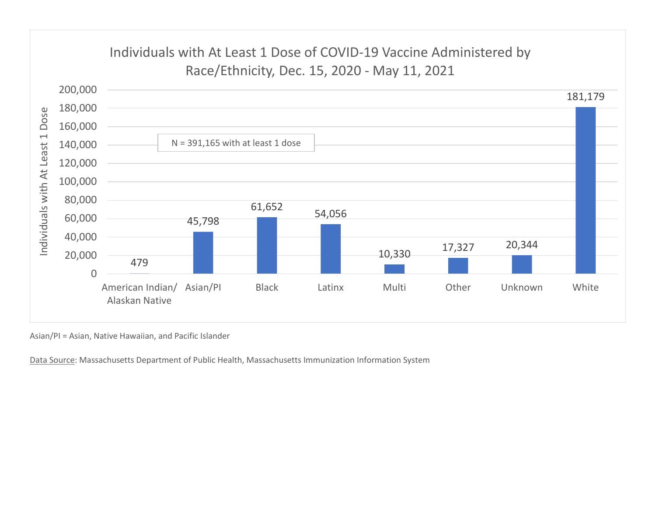

Asian/PI = Asian, Native Hawaiian, and Pacific Islander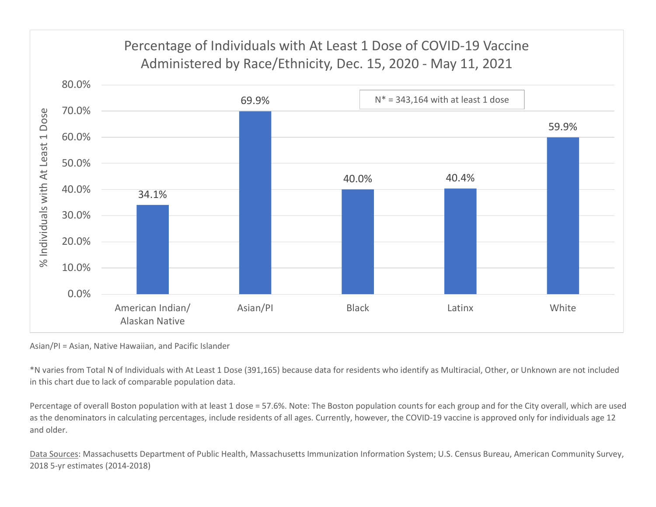

Asian/PI = Asian, Native Hawaiian, and Pacific Islander

\*N varies from Total N of Individuals with At Least 1 Dose (391,165) because data for residents who identify as Multiracial, Other, or Unknown are not included in this chart due to lack of comparable population data.

Percentage of overall Boston population with at least 1 dose = 57.6%. Note: The Boston population counts for each group and for the City overall, which are used as the denominators in calculating percentages, include residents of all ages. Currently, however, the COVID-19 vaccine is approved only for individuals age 12 and older.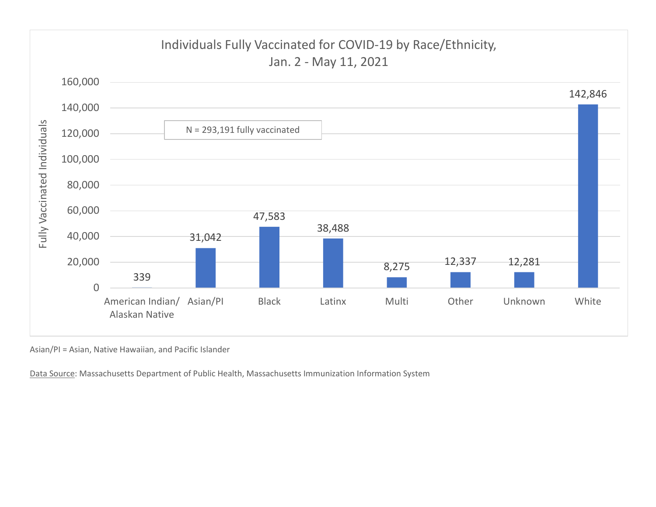

Asian/PI = Asian, Native Hawaiian, and Pacific Islander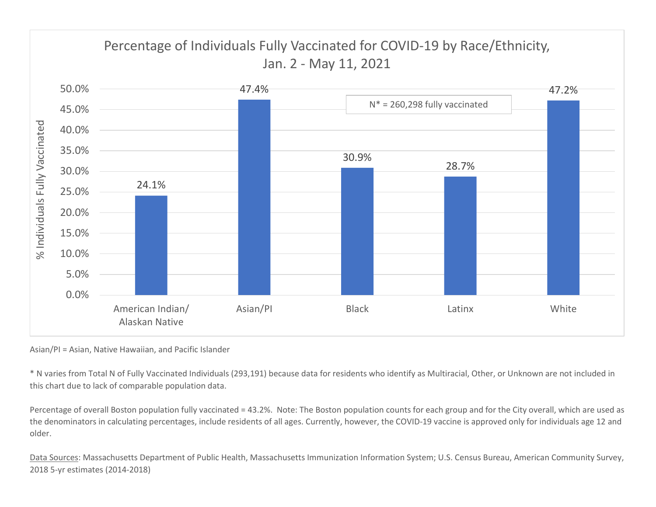

Asian/PI = Asian, Native Hawaiian, and Pacific Islander

\* N varies from Total N of Fully Vaccinated Individuals (293,191) because data for residents who identify as Multiracial, Other, or Unknown are not included in this chart due to lack of comparable population data.

Percentage of overall Boston population fully vaccinated = 43.2%. Note: The Boston population counts for each group and for the City overall, which are used as the denominators in calculating percentages, include residents of all ages. Currently, however, the COVID-19 vaccine is approved only for individuals age 12 and older.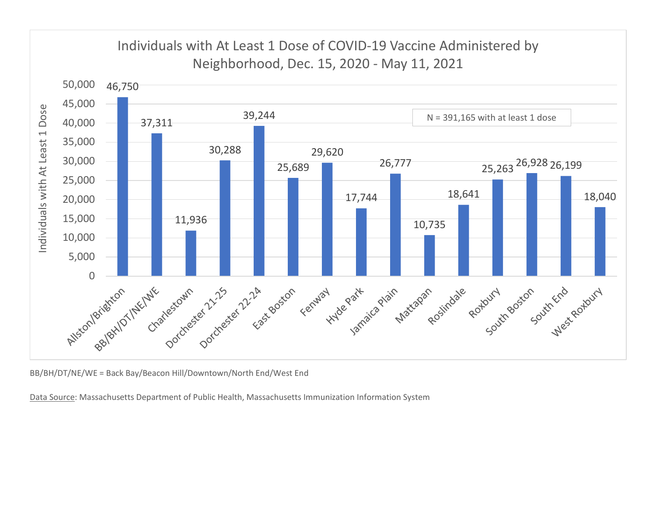![](_page_11_Figure_0.jpeg)

BB/BH/DT/NE/WE = Back Bay/Beacon Hill/Downtown/North End/West End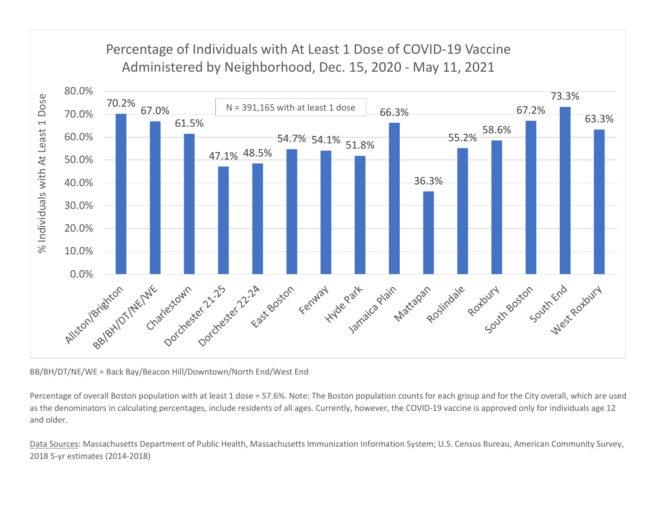![](_page_12_Figure_0.jpeg)

BB/BH/DT/NE/WE = Back Bay/Beacon Hill/Downtown/North End/West End

Percentage of overall Boston population with at least 1 dose = 57.6%. Note: The Boston population counts for each group and for the City overall, which are used as the denominators in calculating percentages, include residents of all ages. Currently, however, the COVID-19 vaccine is approved only for individuals age 12 and older.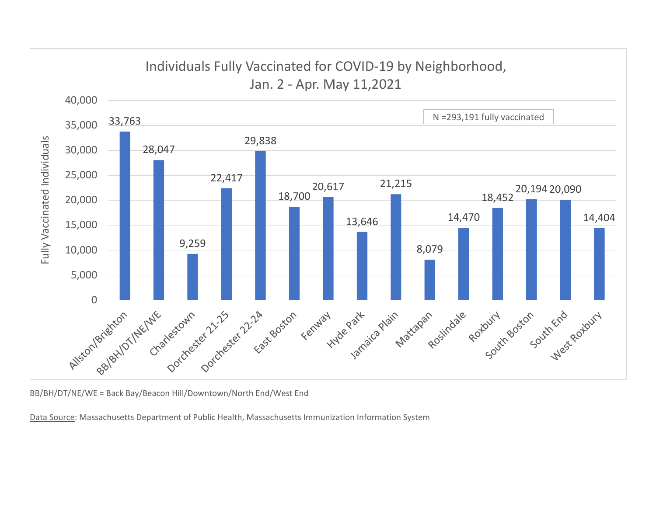![](_page_13_Figure_0.jpeg)

BB/BH/DT/NE/WE = Back Bay/Beacon Hill/Downtown/North End/West End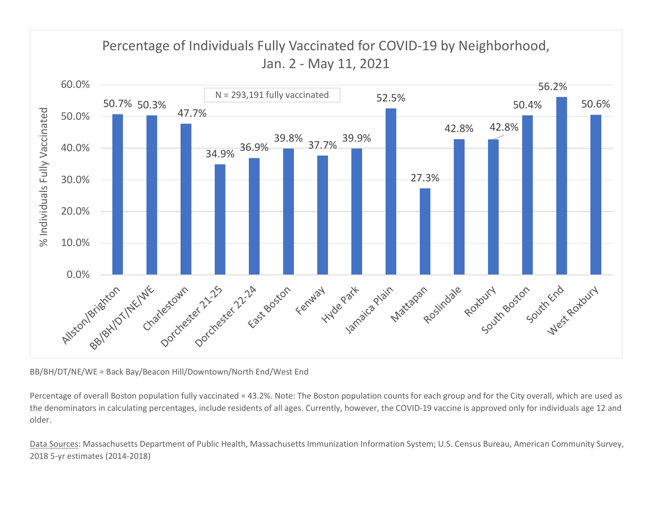![](_page_14_Figure_0.jpeg)

BB/BH/DT/NE/WE = Back Bay/Beacon Hill/Downtown/North End/West End

Percentage of overall Boston population fully vaccinated = 43.2%. Note: The Boston population counts for each group and for the City overall, which are used as the denominators in calculating percentages, include residents of all ages. Currently, however, the COVID-19 vaccine is approved only for individuals age 12 and older.